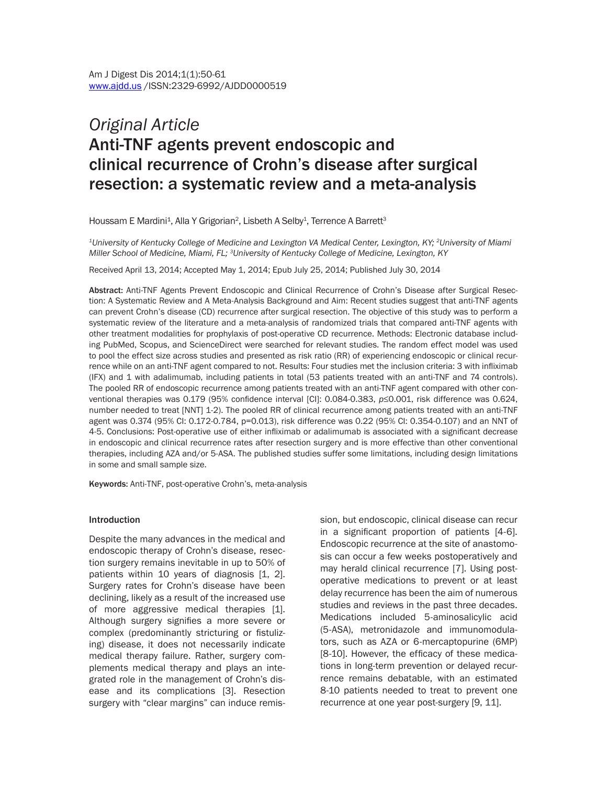# *Original Article* Anti-TNF agents prevent endoscopic and clinical recurrence of Crohn's disease after surgical resection: a systematic review and a meta-analysis

Houssam E Mardini<sup>1</sup>, Alla Y Grigorian<sup>2</sup>, Lisbeth A Selby<sup>1</sup>, Terrence A Barrett<sup>3</sup>

*1University of Kentucky College of Medicine and Lexington VA Medical Center, Lexington, KY; 2University of Miami Miller School of Medicine, Miami, FL; 3University of Kentucky College of Medicine, Lexington, KY*

Received April 13, 2014; Accepted May 1, 2014; Epub July 25, 2014; Published July 30, 2014

Abstract: Anti-TNF Agents Prevent Endoscopic and Clinical Recurrence of Crohn's Disease after Surgical Resection: A Systematic Review and A Meta-Analysis Background and Aim: Recent studies suggest that anti-TNF agents can prevent Crohn's disease (CD) recurrence after surgical resection. The objective of this study was to perform a systematic review of the literature and a meta-analysis of randomized trials that compared anti-TNF agents with other treatment modalities for prophylaxis of post-operative CD recurrence. Methods: Electronic database including PubMed, Scopus, and ScienceDirect were searched for relevant studies. The random effect model was used to pool the effect size across studies and presented as risk ratio (RR) of experiencing endoscopic or clinical recurrence while on an anti-TNF agent compared to not. Results: Four studies met the inclusion criteria: 3 with infliximab (IFX) and 1 with adalimumab, including patients in total (53 patients treated with an anti-TNF and 74 controls). The pooled RR of endoscopic recurrence among patients treated with an anti-TNF agent compared with other conventional therapies was 0.179 (95% confidence interval [CI]: 0.084-0.383, *p≤*0.001, risk difference was 0.624, number needed to treat [NNT] 1-2). The pooled RR of clinical recurrence among patients treated with an anti-TNF agent was 0.374 (95% CI: 0.172-0.784, p=0.013), risk difference was 0.22 (95% CI: 0.354-0.107) and an NNT of 4-5. Conclusions: Post-operative use of either infliximab or adalimumab is associated with a significant decrease in endoscopic and clinical recurrence rates after resection surgery and is more effective than other conventional therapies, including AZA and/or 5-ASA. The published studies suffer some limitations, including design limitations in some and small sample size.

Keywords: Anti-TNF, post-operative Crohn's, meta-analysis

#### Introduction

Despite the many advances in the medical and endoscopic therapy of Crohn's disease, resection surgery remains inevitable in up to 50% of patients within 10 years of diagnosis [1, 2]. Surgery rates for Crohn's disease have been declining, likely as a result of the increased use of more aggressive medical therapies [1]. Although surgery signifies a more severe or complex (predominantly stricturing or fistulizing) disease, it does not necessarily indicate medical therapy failure. Rather, surgery complements medical therapy and plays an integrated role in the management of Crohn's disease and its complications [3]. Resection surgery with "clear margins" can induce remission, but endoscopic, clinical disease can recur in a significant proportion of patients [4-6]. Endoscopic recurrence at the site of anastomosis can occur a few weeks postoperatively and may herald clinical recurrence [7]. Using postoperative medications to prevent or at least delay recurrence has been the aim of numerous studies and reviews in the past three decades. Medications included 5-aminosalicylic acid (5-ASA), metronidazole and immunomodulators, such as AZA or 6-mercaptopurine (6MP) [8-10]. However, the efficacy of these medications in long-term prevention or delayed recurrence remains debatable, with an estimated 8-10 patients needed to treat to prevent one recurrence at one year post-surgery [9, 11].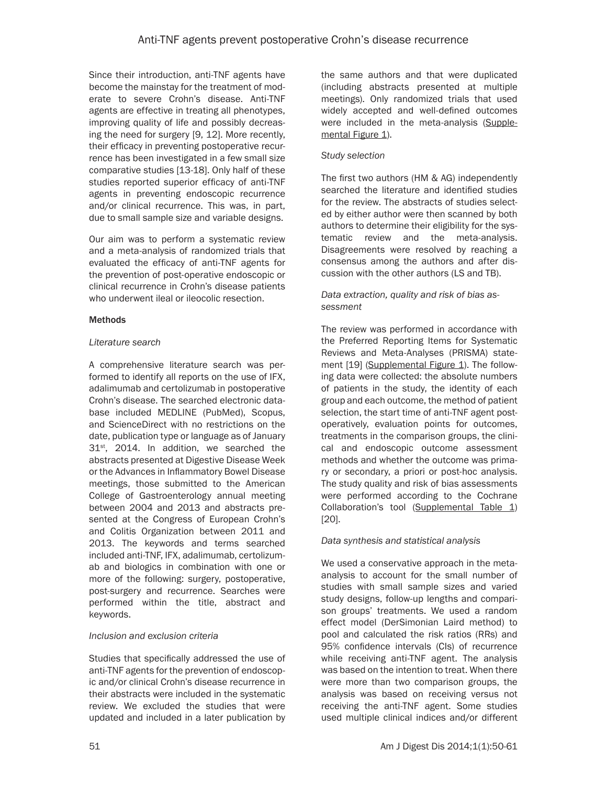Since their introduction, anti-TNF agents have become the mainstay for the treatment of moderate to severe Crohn's disease. Anti-TNF agents are effective in treating all phenotypes, improving quality of life and possibly decreasing the need for surgery [9, 12]. More recently, their efficacy in preventing postoperative recurrence has been investigated in a few small size comparative studies [13-18]. Only half of these studies reported superior efficacy of anti-TNF agents in preventing endoscopic recurrence and/or clinical recurrence. This was, in part, due to small sample size and variable designs.

Our aim was to perform a systematic review and a meta-analysis of randomized trials that evaluated the efficacy of anti-TNF agents for the prevention of post-operative endoscopic or clinical recurrence in Crohn's disease patients who underwent ileal or ileocolic resection.

# Methods

# *Literature search*

A comprehensive literature search was performed to identify all reports on the use of IFX, adalimumab and certolizumab in postoperative Crohn's disease. The searched electronic database included MEDLINE (PubMed), Scopus, and ScienceDirect with no restrictions on the date, publication type or language as of January 31<sup>st</sup>, 2014. In addition, we searched the abstracts presented at Digestive Disease Week or the Advances in Inflammatory Bowel Disease meetings, those submitted to the American College of Gastroenterology annual meeting between 2004 and 2013 and abstracts presented at the Congress of European Crohn's and Colitis Organization between 2011 and 2013. The keywords and terms searched included anti-TNF, IFX, adalimumab, certolizumab and biologics in combination with one or more of the following: surgery, postoperative, post-surgery and recurrence. Searches were performed within the title, abstract and keywords.

# *Inclusion and exclusion criteria*

Studies that specifically addressed the use of anti-TNF agents for the prevention of endoscopic and/or clinical Crohn's disease recurrence in their abstracts were included in the systematic review. We excluded the studies that were updated and included in a later publication by the same authors and that were duplicated (including abstracts presented at multiple meetings). Only randomized trials that used widely accepted and well-defined outcomes were included in the meta-analysis [\(Supple](#page-12-0)[mental Figure 1](#page-12-0)).

# *Study selection*

The first two authors (HM & AG) independently searched the literature and identified studies for the review. The abstracts of studies selected by either author were then scanned by both authors to determine their eligibility for the systematic review and the meta-analysis. Disagreements were resolved by reaching a consensus among the authors and after discussion with the other authors (LS and TB).

#### *Data extraction, quality and risk of bias assessment*

The review was performed in accordance with the Preferred Reporting Items for Systematic Reviews and Meta-Analyses (PRISMA) state-ment [19] ([Supplemental Figure 1](#page-12-0)). The following data were collected: the absolute numbers of patients in the study, the identity of each group and each outcome, the method of patient selection, the start time of anti-TNF agent postoperatively, evaluation points for outcomes, treatments in the comparison groups, the clinical and endoscopic outcome assessment methods and whether the outcome was primary or secondary, a priori or post-hoc analysis. The study quality and risk of bias assessments were performed according to the Cochrane Collaboration's tool [\(Supplemental Table 1](#page-12-0)) [20].

# *Data synthesis and statistical analysis*

We used a conservative approach in the metaanalysis to account for the small number of studies with small sample sizes and varied study designs, follow-up lengths and comparison groups' treatments. We used a random effect model (DerSimonian Laird method) to pool and calculated the risk ratios (RRs) and 95% confidence intervals (CIs) of recurrence while receiving anti-TNF agent. The analysis was based on the intention to treat. When there were more than two comparison groups, the analysis was based on receiving versus not receiving the anti-TNF agent. Some studies used multiple clinical indices and/or different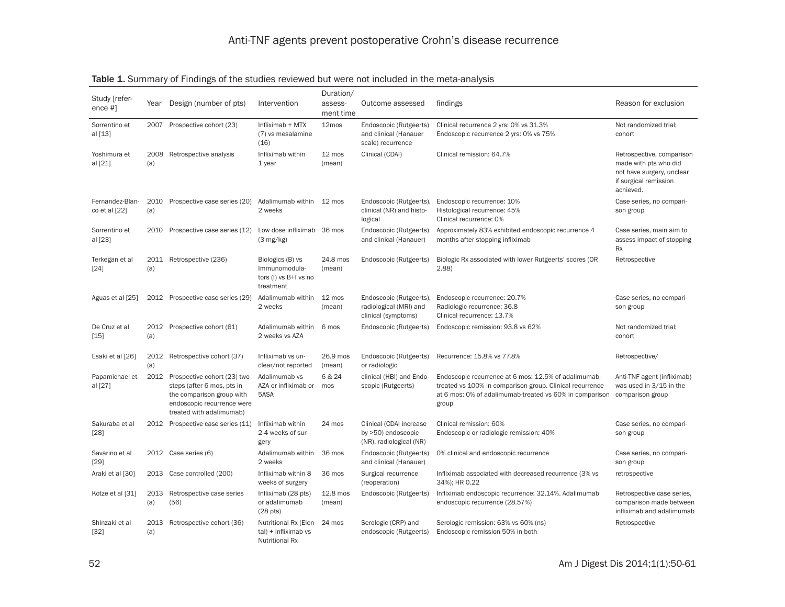| Study [refer-<br>ence $#$ ]      | Year        | Design (number of pts)                                                                                                                           | Intervention                                                                     | Duration/<br>assess-<br>ment time | Outcome assessed                                                         | findings                                                                                                                                                                             | Reason for exclusion                                                                                                  |
|----------------------------------|-------------|--------------------------------------------------------------------------------------------------------------------------------------------------|----------------------------------------------------------------------------------|-----------------------------------|--------------------------------------------------------------------------|--------------------------------------------------------------------------------------------------------------------------------------------------------------------------------------|-----------------------------------------------------------------------------------------------------------------------|
| Sorrentino et<br>al [13]         | 2007        | Prospective cohort (23)                                                                                                                          | Infliximab + MTX<br>(7) vs mesalamine<br>(16)                                    | 12mos                             | Endoscopic (Rutgeerts)<br>and clinical (Hanauer<br>scale) recurrence     | Clinical recurrence 2 yrs: 0% vs 31.3%<br>Endoscopic recurrence 2 yrs: 0% vs 75%                                                                                                     | Not randomized trial;<br>cohort                                                                                       |
| Yoshimura et<br>al [21]          | (a)         | 2008 Retrospective analysis                                                                                                                      | Infliximab within<br>1 year                                                      | 12 mos<br>(mean)                  | Clinical (CDAI)                                                          | Clinical remission: 64.7%                                                                                                                                                            | Retrospective, comparison<br>made with pts who did<br>not have surgery, unclear<br>if surgical remission<br>achieved. |
| Fernandez-Blan-<br>co et al [22] | (a)         | 2010 Prospective case series (20)                                                                                                                | Adalimumab within<br>2 weeks                                                     | 12 mos                            | Endoscopic (Rutgeerts),<br>clinical (NR) and histo-<br>logical           | Endoscopic recurrence: 10%<br>Histological recurrence: 45%<br>Clinical recurrence: 0%                                                                                                | Case series, no compari-<br>son group                                                                                 |
| Sorrentino et<br>al [23]         | 2010        | Prospective case series (12)                                                                                                                     | Low dose infliximab<br>$(3 \text{ mg/kg})$                                       | 36 mos                            | Endoscopic (Rutgeerts)<br>and clinical (Hanauer)                         | Approximately 83% exhibited endoscopic recurrence 4<br>months after stopping infliximab                                                                                              | Case series, main aim to<br>assess impact of stopping<br>Rx                                                           |
| Terkegan et al<br>$[24]$         | (a)         | 2011 Retrospective (236)                                                                                                                         | Biologics (B) vs<br>Immunomodula-<br>tors (I) vs B+I vs no<br>treatment          | 24.8 mos<br>(mean)                | Endoscopic (Rutgeerts)                                                   | Biologic Rx associated with lower Rutgeerts' scores (OR<br>2.88                                                                                                                      | Retrospective                                                                                                         |
| Aguas et al [25]                 |             | 2012 Prospective case series (29)                                                                                                                | Adalimumab within<br>2 weeks                                                     | 12 mos<br>(mean)                  | Endoscopic (Rutgeerts),<br>radiological (MRI) and<br>clinical (symptoms) | Endoscopic recurrence: 20.7%<br>Radiologic recurrence: 36.8<br>Clinical recurrence: 13.7%                                                                                            | Case series, no compari-<br>son group                                                                                 |
| De Cruz et al<br>$[15]$          | (a)         | 2012 Prospective cohort (61)                                                                                                                     | Adalimumab within<br>2 weeks vs AZA                                              | 6 mos                             | Endoscopic (Rutgeerts)                                                   | Endoscopic remission: 93.8 vs 62%                                                                                                                                                    | Not randomized trial;<br>cohort                                                                                       |
| Esaki et al [26]                 | 2012<br>(a) | Retrospective cohort (37)                                                                                                                        | Infliximab vs un-<br>clear/not reported                                          | 26.9 mos<br>(mean)                | Endoscopic (Rutgeerts)<br>or radiologic                                  | Recurrence: 15.8% vs 77.8%                                                                                                                                                           | Retrospective/                                                                                                        |
| Papamichael et<br>al [27]        | 2012        | Prospective cohort (23) two<br>steps (after 6 mos, pts in<br>the comparison group with<br>endoscopic recurrence were<br>treated with adalimumab) | Adalimumab vs<br>AZA or infliximab or<br>5ASA                                    | 6 & 24<br>mos                     | clinical (HBI) and Endo-<br>scopic (Rutgeerts)                           | Endoscopic recurrence at 6 mos: 12.5% of adalimumab-<br>treated vs 100% in comparison group. Clinical recurrence<br>at 6 mos: 0% of adalimumab-treated vs 60% in comparison<br>group | Anti-TNF agent (infliximab)<br>was used in 3/15 in the<br>comparison group                                            |
| Sakuraba et al<br>[28]           |             | 2012 Prospective case series (11)                                                                                                                | Infliximab within<br>2-4 weeks of sur-<br>gery                                   | 24 mos                            | Clinical (CDAI increase<br>by >50) endoscopic<br>(NR), radiological (NR) | Clinical remission: 60%<br>Endoscopic or radiologic remission: 40%                                                                                                                   | Case series, no compari-<br>son group                                                                                 |
| Savarino et al<br>[29]           |             | 2012 Case series (6)                                                                                                                             | Adalimumab within<br>2 weeks                                                     | 36 mos                            | Endoscopic (Rutgeerts)<br>and clinical (Hanauer)                         | 0% clinical and endoscopic recurrence                                                                                                                                                | Case series, no compari-<br>son group                                                                                 |
| Araki et al [30]                 |             | 2013 Case controlled (200)                                                                                                                       | Infliximab within 8<br>weeks of surgery                                          | 36 mos                            | Surgical recurrence<br>(reoperation)                                     | Infliximab associated with decreased recurrence (3% vs<br>34%); HR 0.22                                                                                                              | retrospective                                                                                                         |
| Kotze et al [31]                 | 2013<br>(a) | Retrospective case series<br>(56)                                                                                                                | Infliximab (28 pts)<br>or adalimumab<br>(28 <sub>pts</sub> )                     | 12.8 mos<br>(mean)                | Endoscopic (Rutgeerts)                                                   | Infliximab endoscopic recurrence: 32.14%. Adalimumab<br>endoscopic recurrence (28.57%)                                                                                               | Retrospective case series,<br>comparison made between<br>infliximab and adalimumab                                    |
| Shinzaki et al<br>$[32]$         | 2013<br>(a) | Retrospective cohort (36)                                                                                                                        | Nutritional Rx (Elen- 24 mos<br>$tal$ ) + infliximab vs<br><b>Nutritional Rx</b> |                                   | Serologic (CRP) and<br>endoscopic (Rutgeerts)                            | Serologic remission: 63% vs 60% (ns)<br>Endoscopic remission 50% in both                                                                                                             | Retrospective                                                                                                         |

# Table 1. Summary of Findings of the studies reviewed but were not included in the meta-analysis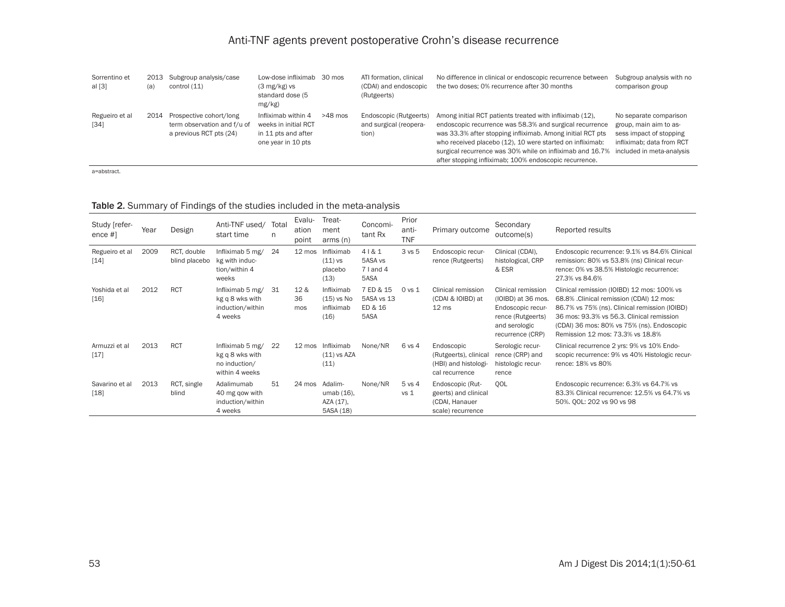| Sorrentino et<br>al $[3]$ | 2013<br>(a | Subgroup analysis/case<br>control (11)                                            | Low-dose infliximab<br>$(3 \text{ mg/kg})$ vs<br>standard dose (5<br>$mg/kg$ )           | 30 mos    | ATI formation, clinical<br>(CDAI) and endoscopic<br>(Rutgeerts) | No difference in clinical or endoscopic recurrence between<br>the two doses; 0% recurrence after 30 months                                                                                                                                                                                                                                                            | Subgroup analysis with no<br>comparison group                                                                                         |
|---------------------------|------------|-----------------------------------------------------------------------------------|------------------------------------------------------------------------------------------|-----------|-----------------------------------------------------------------|-----------------------------------------------------------------------------------------------------------------------------------------------------------------------------------------------------------------------------------------------------------------------------------------------------------------------------------------------------------------------|---------------------------------------------------------------------------------------------------------------------------------------|
| Regueiro et al<br>$[34]$  | 2014       | Prospective cohort/long<br>term observation and f/u of<br>a previous RCT pts (24) | Infliximab within 4<br>weeks in initial RCT<br>in 11 pts and after<br>one year in 10 pts | $>48$ mos | Endoscopic (Rutgeerts)<br>and surgical (reopera-<br>tion)       | Among initial RCT patients treated with infliximab (12).<br>endoscopic recurrence was 58.3% and surgical recurrence<br>was 33.3% after stopping infliximab. Among initial RCT pts<br>who received placebo (12), 10 were started on infliximab:<br>surgical recurrence was 30% while on infliximab and 16.7%<br>after stopping infliximab; 100% endoscopic recurrence. | No separate comparison<br>group, main aim to as-<br>sess impact of stopping<br>infliximab: data from RCT<br>included in meta-analysis |

a=abstract.

| Study [refer-<br>ence $#$ ] | Year | Design                       | Anti-TNF used/<br>start time                                           | Total<br>n | Evalu-<br>ation<br>point     | Treat-<br>ment<br>arms(n)                        | Concomi-<br>tant Rx                        | Prior<br>anti-<br><b>TNF</b> | Primary outcome                                                                 | Secondary<br>outcome(s)                                                                                                 | Reported results                                                                                                                                                                                                                                                       |
|-----------------------------|------|------------------------------|------------------------------------------------------------------------|------------|------------------------------|--------------------------------------------------|--------------------------------------------|------------------------------|---------------------------------------------------------------------------------|-------------------------------------------------------------------------------------------------------------------------|------------------------------------------------------------------------------------------------------------------------------------------------------------------------------------------------------------------------------------------------------------------------|
| Regueiro et al<br>[14]      | 2009 | RCT, double<br>blind placebo | Infliximab 5 mg/<br>kg with induc-<br>tion/within 4<br>weeks           | 24         | 12 mos                       | Infliximab<br>$(11)$ vs<br>placebo<br>(13)       | 4181<br>5ASA vs<br>$7$ I and 4<br>5ASA     | 3 vs 5                       | Endoscopic recur-<br>rence (Rutgeerts)                                          | Clinical (CDAI),<br>histological, CRP<br>& ESR                                                                          | Endoscopic recurrence: 9.1% vs 84.6% Clinical<br>remission: 80% vs 53.8% (ns) Clinical recur-<br>rence: 0% vs 38.5% Histologic recurrence:<br>27.3% vs 84.6%                                                                                                           |
| Yoshida et al<br>$[16]$     | 2012 | <b>RCT</b>                   | Infliximab 5 mg/<br>kg q 8 wks with<br>induction/within<br>4 weeks     | -31        | 12 <sub>8</sub><br>36<br>mos | Infliximab<br>$(15)$ vs No<br>infliximab<br>(16) | 7 ED & 15<br>5ASA vs 13<br>ED & 16<br>5ASA | 0 vs 1                       | Clinical remission<br>(CDAI & IOIBD) at<br>12 <sub>ms</sub>                     | Clinical remission<br>(IOIBD) at 36 mos.<br>Endoscopic recur-<br>rence (Rutgeerts)<br>and serologic<br>recurrence (CRP) | Clinical remission (IOIBD) 12 mos: 100% vs<br>68.8% .Clinical remission (CDAI) 12 mos:<br>86.7% vs 75% (ns). Clinical remission (IOIBD)<br>36 mos: 93.3% vs 56.3. Clinical remission<br>(CDAI) 36 mos: 80% vs 75% (ns). Endoscopic<br>Remission 12 mos: 73.3% vs 18.8% |
| Armuzzi et al<br>$[17]$     | 2013 | <b>RCT</b>                   | Infliximab 5 mg/<br>kg q 8 wks with<br>no induction/<br>within 4 weeks | 22         | $12 \text{ mos}$             | Infliximab<br>$(11)$ vs AZA<br>(11)              | None/NR                                    | 6 vs 4                       | Endoscopic<br>(Rutgeerts), clinical<br>(HBI) and histologi-<br>cal recurrence   | Serologic recur-<br>rence (CRP) and<br>histologic recur-<br>rence                                                       | Clinical recurrence 2 yrs: 9% vs 10% Endo-<br>scopic recurrence: 9% vs 40% Histologic recur-<br>rence: 18% vs 80%                                                                                                                                                      |
| Savarino et al<br>[18]      | 2013 | RCT, single<br>blind         | Adalimumab<br>40 mg gow with<br>induction/within<br>4 weeks            | 51         | 24 mos                       | Adalim-<br>umab (16),<br>AZA (17),<br>5ASA (18)  | None/NR                                    | 5 vs 4<br>vs <sub>1</sub>    | Endoscopic (Rut-<br>geerts) and clinical<br>(CDAI, Hanauer<br>scale) recurrence | OOL                                                                                                                     | Endoscopic recurrence: 6.3% vs 64.7% vs<br>83.3% Clinical recurrence: 12.5% vs 64.7% vs<br>50%. OOL: 202 vs 90 vs 98                                                                                                                                                   |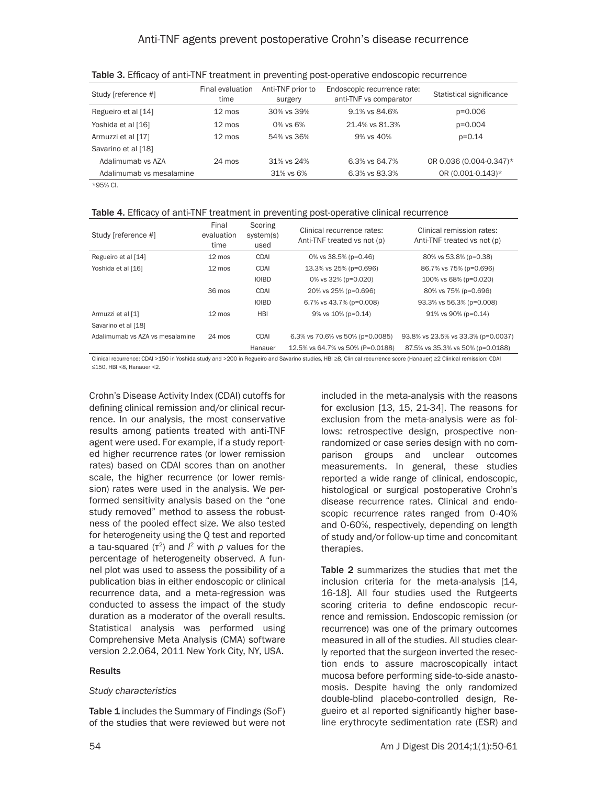| Study [reference #]      | Final evaluation<br>time | Anti-TNF prior to<br>surgery | Endoscopic recurrence rate:<br>anti-TNF vs comparator | Statistical significance |
|--------------------------|--------------------------|------------------------------|-------------------------------------------------------|--------------------------|
| Regueiro et al [14]      | $12 \text{ mos}$         | 30% vs 39%                   | 9.1% vs 84.6%                                         | p=0.006                  |
| Yoshida et al [16]       | $12 \text{ mos}$         | $0\%$ vs $6\%$               | 21.4% vs 81.3%                                        | p=0.004                  |
| Armuzzi et al [17]       | $12 \text{ mos}$         | 54% vs 36%                   | 9% vs 40%                                             | $p = 0.14$               |
| Savarino et al [18]      |                          |                              |                                                       |                          |
| Adalimumab vs AZA        | $24 \text{ mos}$         | 31% vs 24%                   | 6.3% vs 64.7%                                         | OR 0.036 (0.004-0.347)*  |
| Adalimumab vs mesalamine |                          | 31% vs 6%                    | 6.3% vs 83.3%                                         | OR (0.001-0.143)*        |

Table 3. Efficacy of anti-TNF treatment in preventing post-operative endoscopic recurrence

\*95% CI.

|  |  | Table 4. Efficacy of anti-TNF treatment in preventing post-operative clinical recurrence |
|--|--|------------------------------------------------------------------------------------------|
|--|--|------------------------------------------------------------------------------------------|

| Study [reference #]             | Final<br>evaluation<br>time | Scoring<br>system(s)<br>used | Clinical recurrence rates:<br>Anti-TNF treated vs not (p) | Clinical remission rates:<br>Anti-TNF treated vs not (p) |  |
|---------------------------------|-----------------------------|------------------------------|-----------------------------------------------------------|----------------------------------------------------------|--|
| Regueiro et al [14]             | $12 \text{ mos}$            | <b>CDAI</b>                  | 0% vs $38.5%$ (p=0.46)                                    | 80% vs 53.8% (p=0.38)                                    |  |
| Yoshida et al [16]              | $12 \text{ mos}$            | <b>CDAI</b>                  | 13.3% vs 25% (p=0.696)                                    | 86.7% vs 75% (p=0.696)                                   |  |
|                                 |                             | <b>IOIBD</b>                 | 0% vs 32% (p=0.020)                                       | 100% vs 68% (p=0.020)                                    |  |
|                                 | 36 mos                      | <b>CDAI</b>                  | 20% vs 25% (p=0.696)                                      | 80% vs 75% (p=0.696)                                     |  |
|                                 |                             | <b>IOIBD</b>                 | 6.7% vs 43.7% (p=0.008)                                   | 93.3% vs 56.3% (p=0.008)                                 |  |
| Armuzzi et al [1]               | $12 \text{ mos}$            | <b>HBI</b>                   | 9% vs 10% (p=0.14)                                        | $91\%$ vs 90% (p=0.14)                                   |  |
| Savarino et al [18]             |                             |                              |                                                           |                                                          |  |
| Adalimumab vs AZA vs mesalamine | $24 \text{ mos}$            | <b>CDAI</b>                  | 6.3% vs 70.6% vs 50% (p=0.0085)                           | 93.8% vs 23.5% vs 33.3% (p=0.0037)                       |  |
|                                 |                             | Hanauer                      | 12.5% vs 64.7% vs 50% (P=0.0188)                          | 87.5% vs 35.3% vs 50% (p=0.0188)                         |  |

Clinical recurrence: CDAI >150 in Yoshida study and >200 in Regueiro and Savarino studies, HBI ≥8, Clinical recurrence score (Hanauer) ≥2 Clinical remission: CDAI ≤150, HBI <8, Hanauer <2.

Crohn's Disease Activity Index (CDAI) cutoffs for defining clinical remission and/or clinical recurrence. In our analysis, the most conservative results among patients treated with anti-TNF agent were used. For example, if a study reported higher recurrence rates (or lower remission rates) based on CDAI scores than on another scale, the higher recurrence (or lower remission) rates were used in the analysis. We performed sensitivity analysis based on the "one study removed" method to assess the robustness of the pooled effect size. We also tested for heterogeneity using the Q test and reported a tau-squared (τ<sup>2</sup>) and  $l^2$  with *p* values for the percentage of heterogeneity observed. A funnel plot was used to assess the possibility of a publication bias in either endoscopic or clinical recurrence data, and a meta-regression was conducted to assess the impact of the study duration as a moderator of the overall results. Statistical analysis was performed using Comprehensive Meta Analysis (CMA) software version 2.2.064, 2011 New York City, NY, USA.

#### Results

#### *Study characteristics*

Table 1 includes the Summary of Findings (SoF) of the studies that were reviewed but were not included in the meta-analysis with the reasons for exclusion [13, 15, 21-34]. The reasons for exclusion from the meta-analysis were as follows: retrospective design, prospective nonrandomized or case series design with no comparison groups and unclear outcomes measurements. In general, these studies reported a wide range of clinical, endoscopic, histological or surgical postoperative Crohn's disease recurrence rates. Clinical and endoscopic recurrence rates ranged from 0-40% and 0-60%, respectively, depending on length of study and/or follow-up time and concomitant therapies.

Table 2 summarizes the studies that met the inclusion criteria for the meta-analysis [14, 16-18]. All four studies used the Rutgeerts scoring criteria to define endoscopic recurrence and remission. Endoscopic remission (or recurrence) was one of the primary outcomes measured in all of the studies. All studies clearly reported that the surgeon inverted the resection ends to assure macroscopically intact mucosa before performing side-to-side anastomosis. Despite having the only randomized double-blind placebo-controlled design, Regueiro et al reported significantly higher baseline erythrocyte sedimentation rate (ESR) and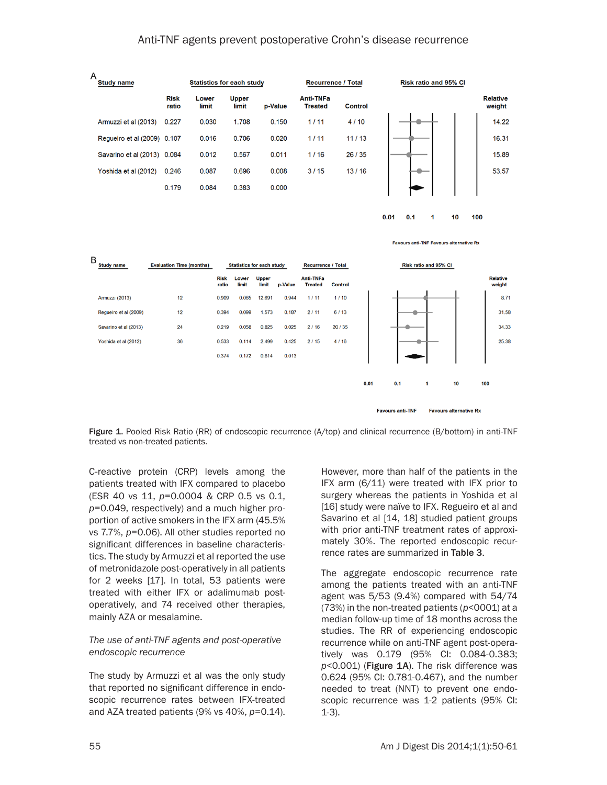



Figure 1. Pooled Risk Ratio (RR) of endoscopic recurrence (A/top) and clinical recurrence (B/bottom) in anti-TNF treated vs non-treated patients.

C-reactive protein (CRP) levels among the patients treated with IFX compared to placebo (ESR 40 vs 11, *p*=0.0004 & CRP 0.5 vs 0.1, *p*=0.049, respectively) and a much higher proportion of active smokers in the IFX arm (45.5% vs 7.7%, *p*=0.06). All other studies reported no significant differences in baseline characteristics. The study by Armuzzi et al reported the use of metronidazole post-operatively in all patients for 2 weeks [17]. In total, 53 patients were treated with either IFX or adalimumab postoperatively, and 74 received other therapies, mainly AZA or mesalamine.

#### *The use of anti-TNF agents and post-operative endoscopic recurrence*

The study by Armuzzi et al was the only study that reported no significant difference in endoscopic recurrence rates between IFX-treated and AZA treated patients (9% vs 40%, *p*=0.14).

However, more than half of the patients in the IFX arm (6/11) were treated with IFX prior to surgery whereas the patients in Yoshida et al [16] study were naïve to IFX. Regueiro et al and Savarino et al [14, 18] studied patient groups with prior anti-TNF treatment rates of approximately 30%. The reported endoscopic recurrence rates are summarized in Table 3.

**Favours alternative Rx** 

**Favours anti-TNF** 

The aggregate endoscopic recurrence rate among the patients treated with an anti-TNF agent was 5/53 (9.4%) compared with 54/74 (73%) in the non-treated patients (*p*<0001) at a median follow-up time of 18 months across the studies. The RR of experiencing endoscopic recurrence while on anti-TNF agent post-operatively was 0.179 (95% CI: 0.084-0.383; p<0.001) (Figure 1A). The risk difference was 0.624 (95% CI: 0.781-0.467), and the number needed to treat (NNT) to prevent one endoscopic recurrence was 1-2 patients (95% CI: 1-3).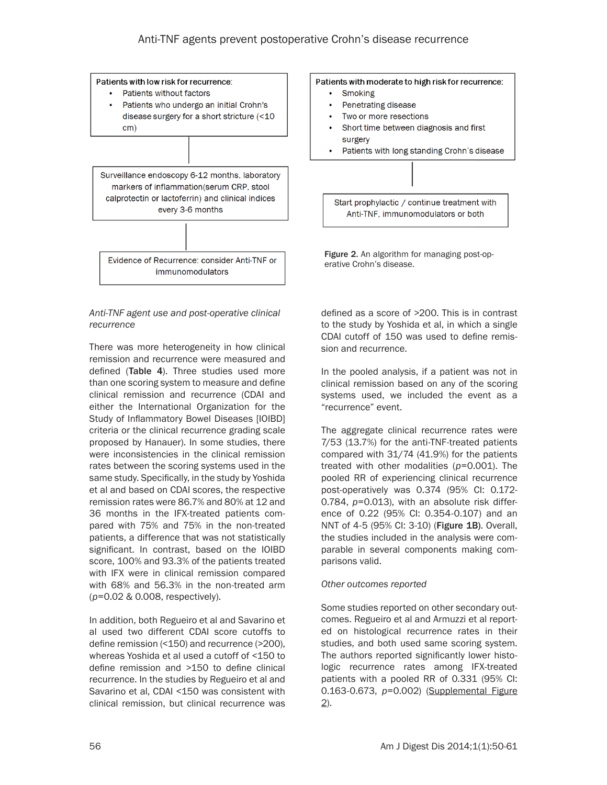

#### *Anti-TNF agent use and post-operative clinical recurrence*

There was more heterogeneity in how clinical remission and recurrence were measured and defined (Table 4). Three studies used more than one scoring system to measure and define clinical remission and recurrence (CDAI and either the International Organization for the Study of Inflammatory Bowel Diseases [IOIBD] criteria or the clinical recurrence grading scale proposed by Hanauer). In some studies, there were inconsistencies in the clinical remission rates between the scoring systems used in the same study. Specifically, in the study by Yoshida et al and based on CDAI scores, the respective remission rates were 86.7% and 80% at 12 and 36 months in the IFX-treated patients compared with 75% and 75% in the non-treated patients, a difference that was not statistically significant. In contrast, based on the IOIBD score, 100% and 93.3% of the patients treated with IFX were in clinical remission compared with 68% and 56.3% in the non-treated arm (*p*=0.02 & 0.008, respectively).

In addition, both Regueiro et al and Savarino et al used two different CDAI score cutoffs to define remission (<150) and recurrence (>200), whereas Yoshida et al used a cutoff of <150 to define remission and >150 to define clinical recurrence. In the studies by Regueiro et al and Savarino et al, CDAI <150 was consistent with clinical remission, but clinical recurrence was

defined as a score of >200. This is in contrast to the study by Yoshida et al, in which a single CDAI cutoff of 150 was used to define remission and recurrence.

In the pooled analysis, if a patient was not in clinical remission based on any of the scoring systems used, we included the event as a "recurrence" event.

The aggregate clinical recurrence rates were 7/53 (13.7%) for the anti-TNF-treated patients compared with 31/74 (41.9%) for the patients treated with other modalities (*p*=0.001). The pooled RR of experiencing clinical recurrence post-operatively was 0.374 (95% CI: 0.172- 0.784, *p*=0.013), with an absolute risk difference of 0.22 (95% CI: 0.354-0.107) and an NNT of 4-5 (95% CI: 3-10) (Figure 1B). Overall, the studies included in the analysis were comparable in several components making comparisons valid.

# *Other outcomes reported*

Some studies reported on other secondary outcomes. Regueiro et al and Armuzzi et al reported on histological recurrence rates in their studies, and both used same scoring system. The authors reported significantly lower histologic recurrence rates among IFX-treated patients with a pooled RR of 0.331 (95% CI: 0.163-0.673, *p*=0.002) ([Supplemental Figure](#page-13-0) [2\)](#page-13-0).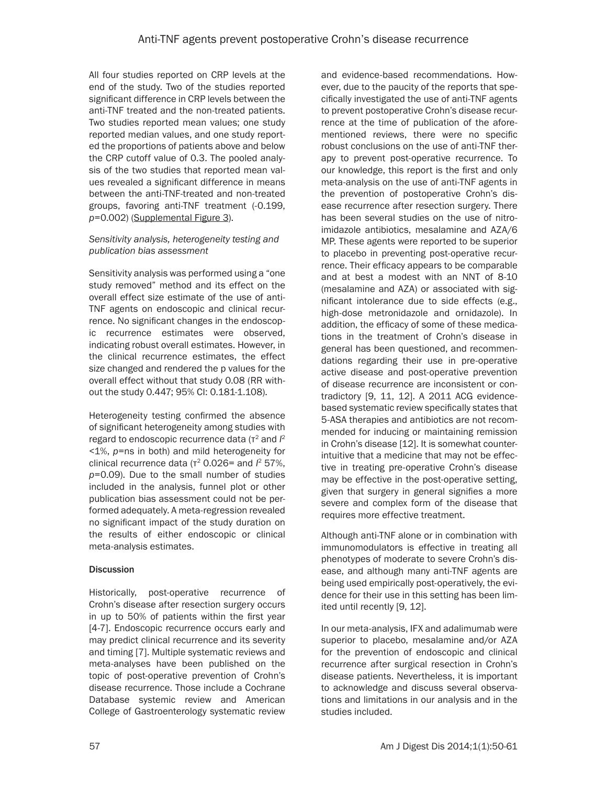All four studies reported on CRP levels at the end of the study. Two of the studies reported significant difference in CRP levels between the anti-TNF treated and the non-treated patients. Two studies reported mean values; one study reported median values, and one study reported the proportions of patients above and below the CRP cutoff value of 0.3. The pooled analysis of the two studies that reported mean values revealed a significant difference in means between the anti-TNF-treated and non-treated groups, favoring anti-TNF treatment (-0.199, *p*=0.002) ([Supplemental Figure 3](#page-13-0)).

# *Sensitivity analysis, heterogeneity testing and publication bias assessment*

Sensitivity analysis was performed using a "one study removed" method and its effect on the overall effect size estimate of the use of anti-TNF agents on endoscopic and clinical recurrence. No significant changes in the endoscopic recurrence estimates were observed, indicating robust overall estimates. However, in the clinical recurrence estimates, the effect size changed and rendered the p values for the overall effect without that study 0.08 (RR without the study 0.447; 95% CI: 0.181-1.108).

Heterogeneity testing confirmed the absence of significant heterogeneity among studies with regard to endoscopic recurrence data (τ<sup>2</sup> and  $I<sup>2</sup>$ <1%, *p*=ns in both) and mild heterogeneity for clinical recurrence data (τ<sup>2</sup> 0.026= and  $l^2$  57%, *p*=0.09). Due to the small number of studies included in the analysis, funnel plot or other publication bias assessment could not be performed adequately. A meta-regression revealed no significant impact of the study duration on the results of either endoscopic or clinical meta-analysis estimates.

# **Discussion**

Historically, post-operative recurrence of Crohn's disease after resection surgery occurs in up to 50% of patients within the first year [4-7]. Endoscopic recurrence occurs early and may predict clinical recurrence and its severity and timing [7]. Multiple systematic reviews and meta-analyses have been published on the topic of post-operative prevention of Crohn's disease recurrence. Those include a Cochrane Database systemic review and American College of Gastroenterology systematic review and evidence-based recommendations. However, due to the paucity of the reports that specifically investigated the use of anti-TNF agents to prevent postoperative Crohn's disease recurrence at the time of publication of the aforementioned reviews, there were no specific robust conclusions on the use of anti-TNF therapy to prevent post-operative recurrence. To our knowledge, this report is the first and only meta-analysis on the use of anti-TNF agents in the prevention of postoperative Crohn's disease recurrence after resection surgery. There has been several studies on the use of nitroimidazole antibiotics, mesalamine and AZA/6 MP. These agents were reported to be superior to placebo in preventing post-operative recurrence. Their efficacy appears to be comparable and at best a modest with an NNT of 8-10 (mesalamine and AZA) or associated with significant intolerance due to side effects (e.g., high-dose metronidazole and ornidazole). In addition, the efficacy of some of these medications in the treatment of Crohn's disease in general has been questioned, and recommendations regarding their use in pre-operative active disease and post-operative prevention of disease recurrence are inconsistent or contradictory [9, 11, 12]. A 2011 ACG evidencebased systematic review specifically states that 5-ASA therapies and antibiotics are not recommended for inducing or maintaining remission in Crohn's disease [12]. It is somewhat counterintuitive that a medicine that may not be effective in treating pre-operative Crohn's disease may be effective in the post-operative setting, given that surgery in general signifies a more severe and complex form of the disease that requires more effective treatment.

Although anti-TNF alone or in combination with immunomodulators is effective in treating all phenotypes of moderate to severe Crohn's disease, and although many anti-TNF agents are being used empirically post-operatively, the evidence for their use in this setting has been limited until recently [9, 12].

In our meta-analysis, IFX and adalimumab were superior to placebo, mesalamine and/or AZA for the prevention of endoscopic and clinical recurrence after surgical resection in Crohn's disease patients. Nevertheless, it is important to acknowledge and discuss several observations and limitations in our analysis and in the studies included.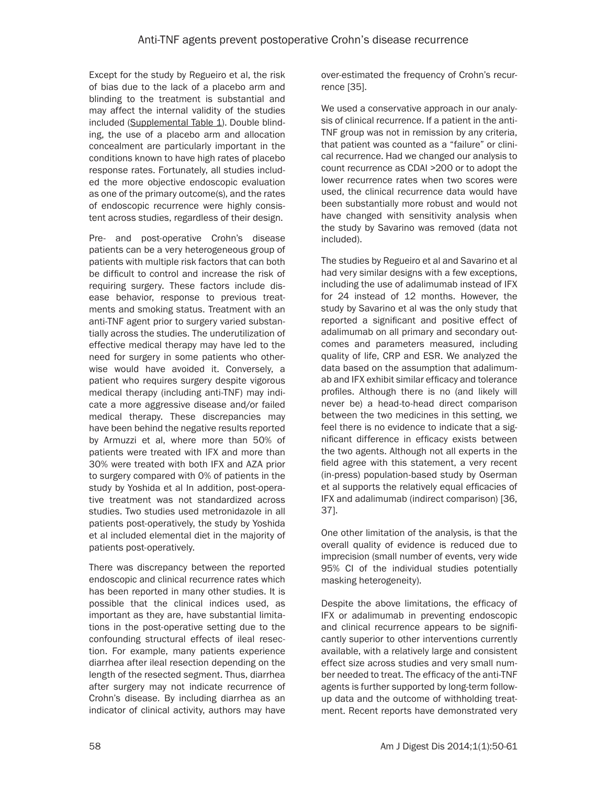Except for the study by Regueiro et al, the risk of bias due to the lack of a placebo arm and blinding to the treatment is substantial and may affect the internal validity of the studies included [\(Supplemental Table 1\)](#page-12-0). Double blinding, the use of a placebo arm and allocation concealment are particularly important in the conditions known to have high rates of placebo response rates. Fortunately, all studies included the more objective endoscopic evaluation as one of the primary outcome(s), and the rates of endoscopic recurrence were highly consistent across studies, regardless of their design.

Pre- and post-operative Crohn's disease patients can be a very heterogeneous group of patients with multiple risk factors that can both be difficult to control and increase the risk of requiring surgery. These factors include disease behavior, response to previous treatments and smoking status. Treatment with an anti-TNF agent prior to surgery varied substantially across the studies. The underutilization of effective medical therapy may have led to the need for surgery in some patients who otherwise would have avoided it. Conversely, a patient who requires surgery despite vigorous medical therapy (including anti-TNF) may indicate a more aggressive disease and/or failed medical therapy. These discrepancies may have been behind the negative results reported by Armuzzi et al, where more than 50% of patients were treated with IFX and more than 30% were treated with both IFX and AZA prior to surgery compared with 0% of patients in the study by Yoshida et al In addition, post-operative treatment was not standardized across studies. Two studies used metronidazole in all patients post-operatively, the study by Yoshida et al included elemental diet in the majority of patients post-operatively.

There was discrepancy between the reported endoscopic and clinical recurrence rates which has been reported in many other studies. It is possible that the clinical indices used, as important as they are, have substantial limitations in the post-operative setting due to the confounding structural effects of ileal resection. For example, many patients experience diarrhea after ileal resection depending on the length of the resected segment. Thus, diarrhea after surgery may not indicate recurrence of Crohn's disease. By including diarrhea as an indicator of clinical activity, authors may have over-estimated the frequency of Crohn's recurrence [35].

We used a conservative approach in our analysis of clinical recurrence. If a patient in the anti-TNF group was not in remission by any criteria, that patient was counted as a "failure" or clinical recurrence. Had we changed our analysis to count recurrence as CDAI >200 or to adopt the lower recurrence rates when two scores were used, the clinical recurrence data would have been substantially more robust and would not have changed with sensitivity analysis when the study by Savarino was removed (data not included).

The studies by Regueiro et al and Savarino et al had very similar designs with a few exceptions, including the use of adalimumab instead of IFX for 24 instead of 12 months. However, the study by Savarino et al was the only study that reported a significant and positive effect of adalimumab on all primary and secondary outcomes and parameters measured, including quality of life, CRP and ESR. We analyzed the data based on the assumption that adalimumab and IFX exhibit similar efficacy and tolerance profiles. Although there is no (and likely will never be) a head-to-head direct comparison between the two medicines in this setting, we feel there is no evidence to indicate that a significant difference in efficacy exists between the two agents. Although not all experts in the field agree with this statement, a very recent (in-press) population-based study by Oserman et al supports the relatively equal efficacies of IFX and adalimumab (indirect comparison) [36, 37].

One other limitation of the analysis, is that the overall quality of evidence is reduced due to imprecision (small number of events, very wide 95% CI of the individual studies potentially masking heterogeneity).

Despite the above limitations, the efficacy of IFX or adalimumab in preventing endoscopic and clinical recurrence appears to be significantly superior to other interventions currently available, with a relatively large and consistent effect size across studies and very small number needed to treat. The efficacy of the anti-TNF agents is further supported by long-term followup data and the outcome of withholding treatment. Recent reports have demonstrated very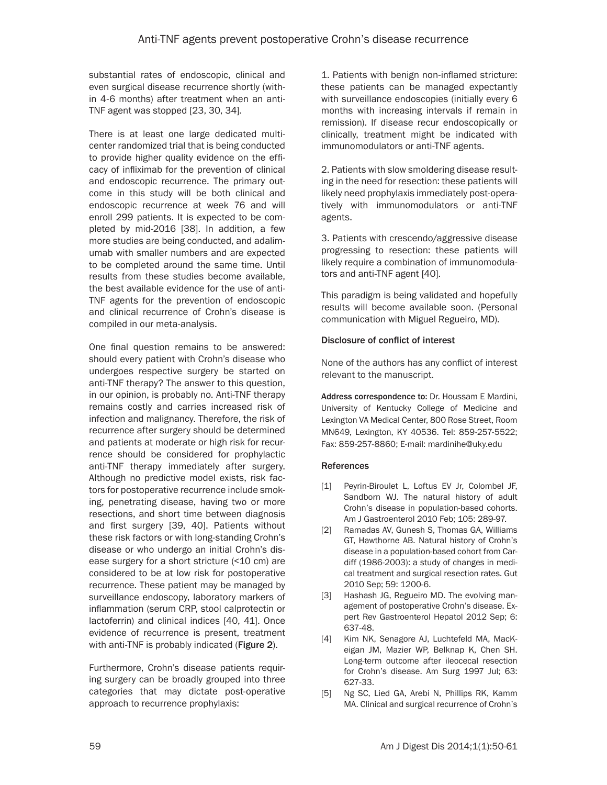substantial rates of endoscopic, clinical and even surgical disease recurrence shortly (within 4-6 months) after treatment when an anti-TNF agent was stopped [23, 30, 34].

There is at least one large dedicated multicenter randomized trial that is being conducted to provide higher quality evidence on the efficacy of infliximab for the prevention of clinical and endoscopic recurrence. The primary outcome in this study will be both clinical and endoscopic recurrence at week 76 and will enroll 299 patients. It is expected to be completed by mid-2016 [38]. In addition, a few more studies are being conducted, and adalimumab with smaller numbers and are expected to be completed around the same time. Until results from these studies become available, the best available evidence for the use of anti-TNF agents for the prevention of endoscopic and clinical recurrence of Crohn's disease is compiled in our meta-analysis.

One final question remains to be answered: should every patient with Crohn's disease who undergoes respective surgery be started on anti-TNF therapy? The answer to this question, in our opinion, is probably no. Anti-TNF therapy remains costly and carries increased risk of infection and malignancy. Therefore, the risk of recurrence after surgery should be determined and patients at moderate or high risk for recurrence should be considered for prophylactic anti-TNF therapy immediately after surgery. Although no predictive model exists, risk factors for postoperative recurrence include smoking, penetrating disease, having two or more resections, and short time between diagnosis and first surgery [39, 40]. Patients without these risk factors or with long-standing Crohn's disease or who undergo an initial Crohn's disease surgery for a short stricture (<10 cm) are considered to be at low risk for postoperative recurrence. These patient may be managed by surveillance endoscopy, laboratory markers of inflammation (serum CRP, stool calprotectin or lactoferrin) and clinical indices [40, 41]. Once evidence of recurrence is present, treatment with anti-TNF is probably indicated (Figure 2).

Furthermore, Crohn's disease patients requiring surgery can be broadly grouped into three categories that may dictate post-operative approach to recurrence prophylaxis:

1. Patients with benign non-inflamed stricture: these patients can be managed expectantly with surveillance endoscopies (initially every 6 months with increasing intervals if remain in remission). If disease recur endoscopically or clinically, treatment might be indicated with immunomodulators or anti-TNF agents.

2. Patients with slow smoldering disease resulting in the need for resection: these patients will likely need prophylaxis immediately post-operatively with immunomodulators or anti-TNF agents.

3. Patients with crescendo/aggressive disease progressing to resection: these patients will likely require a combination of immunomodulators and anti-TNF agent [40].

This paradigm is being validated and hopefully results will become available soon. (Personal communication with Miguel Regueiro, MD).

#### Disclosure of conflict of interest

None of the authors has any conflict of interest relevant to the manuscript.

Address correspondence to: Dr. Houssam E Mardini, University of Kentucky College of Medicine and Lexington VA Medical Center, 800 Rose Street, Room MN649, Lexington, KY 40536. Tel: 859-257-5522; Fax: 859-257-8860; E-mail: [mardinihe@uky.edu](mailto:mardinihe@uky.edu)

#### References

- [1] Peyrin-Biroulet L, Loftus EV Jr, Colombel JF, Sandborn WJ. The natural history of adult Crohn's disease in population-based cohorts. Am J Gastroenterol 2010 Feb; 105: 289-97.
- [2] Ramadas AV, Gunesh S, Thomas GA, Williams GT, Hawthorne AB. Natural history of Crohn's disease in a population-based cohort from Cardiff (1986-2003): a study of changes in medical treatment and surgical resection rates. Gut 2010 Sep; 59: 1200-6.
- [3] Hashash JG, Regueiro MD. The evolving management of postoperative Crohn's disease. Expert Rev Gastroenterol Hepatol 2012 Sep; 6: 637-48.
- [4] Kim NK, Senagore AJ, Luchtefeld MA, MacKeigan JM, Mazier WP, Belknap K, Chen SH. Long-term outcome after ileocecal resection for Crohn's disease. Am Surg 1997 Jul; 63: 627-33.
- [5] Ng SC, Lied GA, Arebi N, Phillips RK, Kamm MA. Clinical and surgical recurrence of Crohn's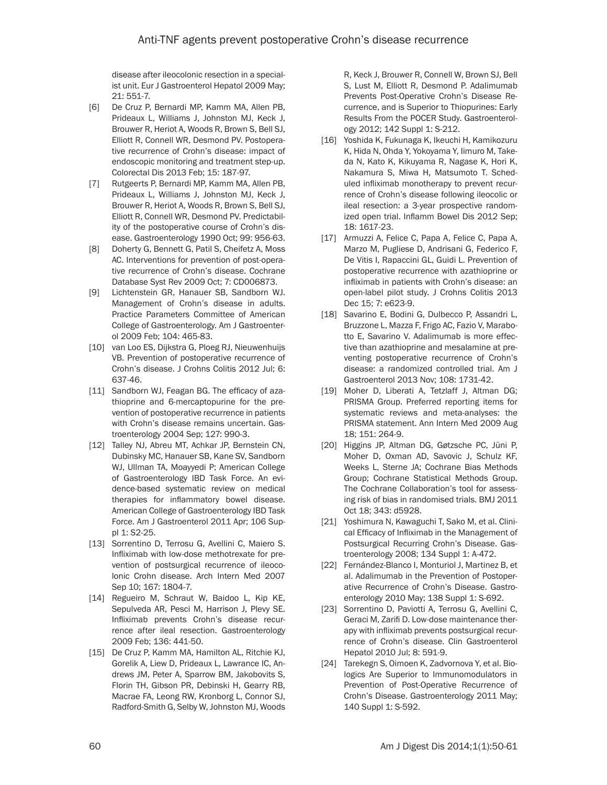disease after ileocolonic resection in a specialist unit. Eur J Gastroenterol Hepatol 2009 May; 21: 551-7.

- [6] De Cruz P, Bernardi MP, Kamm MA, Allen PB, Prideaux L, Williams J, Johnston MJ, Keck J, Brouwer R, Heriot A, Woods R, Brown S, Bell SJ, Elliott R, Connell WR, Desmond PV. Postoperative recurrence of Crohn's disease: impact of endoscopic monitoring and treatment step-up. Colorectal Dis 2013 Feb; 15: 187-97.
- [7] Rutgeerts P, Bernardi MP, Kamm MA, Allen PB, Prideaux L, Williams J, Johnston MJ, Keck J, Brouwer R, Heriot A, Woods R, Brown S, Bell SJ, Elliott R, Connell WR, Desmond PV. Predictability of the postoperative course of Crohn's disease. Gastroenterology 1990 Oct; 99: 956-63.
- [8] Doherty G, Bennett G, Patil S, Cheifetz A, Moss AC. Interventions for prevention of post-operative recurrence of Crohn's disease. Cochrane Database Syst Rev 2009 Oct; 7: CD006873.
- [9] Lichtenstein GR, Hanauer SB, Sandborn WJ. Management of Crohn's disease in adults. Practice Parameters Committee of American College of Gastroenterology. Am J Gastroenterol 2009 Feb; 104: 465-83.
- [10] van Loo ES, Dijkstra G, Ploeg RJ, Nieuwenhuijs VB. Prevention of postoperative recurrence of Crohn's disease. J Crohns Colitis 2012 Jul; 6: 637-46.
- [11] Sandborn WJ, Feagan BG. The efficacy of azathioprine and 6-mercaptopurine for the prevention of postoperative recurrence in patients with Crohn's disease remains uncertain. Gastroenterology 2004 Sep; 127: 990-3.
- [12] Talley NJ, Abreu MT, Achkar JP, Bernstein CN, Dubinsky MC, Hanauer SB, Kane SV, Sandborn WJ, Ullman TA, Moayyedi P; American College of Gastroenterology IBD Task Force. An evidence-based systematic review on medical therapies for inflammatory bowel disease. American College of Gastroenterology IBD Task Force. Am J Gastroenterol 2011 Apr; 106 Suppl 1: S2-25.
- [13] Sorrentino D, Terrosu G, Avellini C, Maiero S. Infliximab with low-dose methotrexate for prevention of postsurgical recurrence of ileocolonic Crohn disease. Arch Intern Med 2007 Sep 10; 167: 1804-7.
- [14] Regueiro M, Schraut W, Baidoo L, Kip KE, Sepulveda AR, Pesci M, Harrison J, Plevy SE. Infliximab prevents Crohn's disease recurrence after ileal resection. Gastroenterology 2009 Feb; 136: 441-50.
- [15] De Cruz P, Kamm MA, Hamilton AL, Ritchie KJ, Gorelik A, Liew D, Prideaux L, Lawrance IC, Andrews JM, Peter A, Sparrow BM, Jakobovits S, Florin TH, Gibson PR, Debinski H, Gearry RB, Macrae FA, Leong RW, Kronborg L, Connor SJ, Radford-Smith G, Selby W, Johnston MJ, Woods

R, Keck J, Brouwer R, Connell W, Brown SJ, Bell S, Lust M, Elliott R, Desmond P. Adalimumab Prevents Post-Operative Crohn's Disease Recurrence, and is Superior to Thiopurines: Early Results From the POCER Study. Gastroenterology 2012; 142 Suppl 1: S-212.

- [16] Yoshida K, Fukunaga K, Ikeuchi H, Kamikozuru K, Hida N, Ohda Y, Yokoyama Y, Iimuro M, Takeda N, Kato K, Kikuyama R, Nagase K, Hori K, Nakamura S, Miwa H, Matsumoto T. Scheduled infliximab monotherapy to prevent recurrence of Crohn's disease following ileocolic or ileal resection: a 3-year prospective randomized open trial. Inflamm Bowel Dis 2012 Sep; 18: 1617-23.
- [17] Armuzzi A, Felice C, Papa A, Felice C, Papa A, Marzo M, Pugliese D, Andrisani G, Federico F, De Vitis I, Rapaccini GL, Guidi L. Prevention of postoperative recurrence with azathioprine or infliximab in patients with Crohn's disease: an open-label pilot study. J Crohns Colitis 2013 Dec 15; 7: e623-9.
- [18] Savarino E, Bodini G, Dulbecco P, Assandri L, Bruzzone L, Mazza F, Frigo AC, Fazio V, Marabotto E, Savarino V. Adalimumab is more effective than azathioprine and mesalamine at preventing postoperative recurrence of Crohn's disease: a randomized controlled trial. Am J Gastroenterol 2013 Nov; 108: 1731-42.
- [19] Moher D, Liberati A, Tetzlaff J, Altman DG; PRISMA Group. Preferred reporting items for systematic reviews and meta-analyses: the PRISMA statement. Ann Intern Med 2009 Aug 18; 151: 264-9.
- [20] Higgins JP, Altman DG, Gøtzsche PC, Jüni P, Moher D, Oxman AD, Savovic J, Schulz KF, Weeks L, Sterne JA; Cochrane Bias Methods Group; Cochrane Statistical Methods Group. The Cochrane Collaboration's tool for assessing risk of bias in randomised trials. BMJ 2011 Oct 18; 343: d5928.
- [21] Yoshimura N, Kawaguchi T, Sako M, et al. Clinical Efficacy of Infliximab in the Management of Postsurgical Recurring Crohn's Disease. Gastroenterology 2008; 134 Suppl 1: A-472.
- [22] Fernández-Blanco I, Monturiol J, Martinez B, et al. Adalimumab in the Prevention of Postoperative Recurrence of Crohn's Disease. Gastroenterology 2010 May; 138 Suppl 1: S-692.
- [23] Sorrentino D, Paviotti A, Terrosu G, Avellini C, Geraci M, Zarifi D. Low-dose maintenance therapy with infliximab prevents postsurgical recurrence of Crohn's disease. Clin Gastroenterol Hepatol 2010 Jul; 8: 591-9.
- [24] Tarekegn S, Oimoen K, Zadvornova Y, et al. Biologics Are Superior to Immunomodulators in Prevention of Post-Operative Recurrence of Crohn's Disease. Gastroenterology 2011 May; 140 Suppl 1: S-592.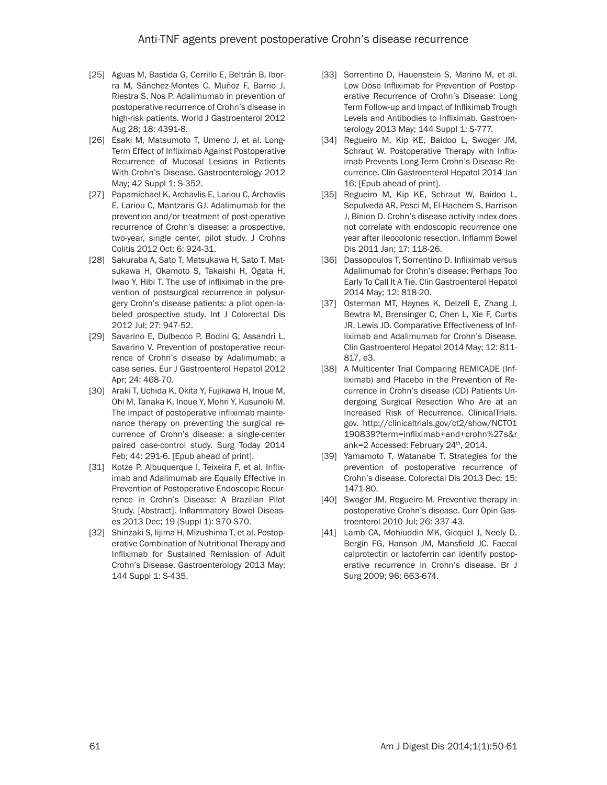- [25] Aguas M, Bastida G, Cerrillo E, Beltrán B, Iborra M, Sánchez-Montes C, Muñoz F, Barrio J, Riestra S, Nos P. Adalimumab in prevention of postoperative recurrence of Crohn's disease in high-risk patients. World J Gastroenterol 2012 Aug 28; 18: 4391-8.
- [26] Esaki M, Matsumoto T, Umeno J, et al. Long-Term Effect of Infliximab Against Postoperative Recurrence of Mucosal Lesions in Patients With Crohn's Disease. Gastroenterology 2012 May; 42 Suppl 1: S-352.
- [27] Papamichael K, Archavlis E, Lariou C, Archavlis E, Lariou C, Mantzaris GJ. Adalimumab for the prevention and/or treatment of post-operative recurrence of Crohn's disease: a prospective, two-year, single center, pilot study. J Crohns Colitis 2012 Oct; 6: 924-31.
- [28] Sakuraba A, Sato T, Matsukawa H, Sato T, Matsukawa H, Okamoto S, Takaishi H, Ogata H, Iwao Y, Hibi T. The use of infliximab in the prevention of postsurgical recurrence in polysurgery Crohn's disease patients: a pilot open-labeled prospective study. Int J Colorectal Dis 2012 Jul; 27: 947-52.
- [29] Savarino E, Dulbecco P, Bodini G, Assandri L, Savarino V. Prevention of postoperative recurrence of Crohn's disease by Adalimumab: a case series. Eur J Gastroenterol Hepatol 2012 Apr; 24: 468-70.
- [30] Araki T, Uchida K, Okita Y, Fujikawa H, Inoue M, Ohi M, Tanaka K, Inoue Y, Mohri Y, Kusunoki M. The impact of postoperative infliximab maintenance therapy on preventing the surgical recurrence of Crohn's disease: a single-center paired case-control study. Surg Today 2014 Feb; 44: 291-6. [Epub ahead of print].
- [31] Kotze P, Albuquerque I, Teixeira F, et al. Infliximab and Adalimumab are Equally Effective in Prevention of Postoperative Endoscopic Recurrence in Crohn's Disease: A Brazilian Pilot Study. [Abstract]. Inflammatory Bowel Diseases 2013 Dec; 19 (Suppl 1): S70-S70.
- [32] Shinzaki S, Iijima H, Mizushima T, et al. Postoperative Combination of Nutritional Therapy and Infliximab for Sustained Remission of Adult Crohn's Disease. Gastroenterology 2013 May; 144 Suppl 1: S-435.
- [33] Sorrentino D, Hauenstein S, Marino M, et al. Low Dose Infliximab for Prevention of Postoperative Recurrence of Crohn's Disease: Long Term Follow-up and Impact of Infliximab Trough Levels and Antibodies to Infliximab. Gastroenterology 2013 May; 144 Suppl 1: S-777.
- [34] Regueiro M, Kip KE, Baidoo L, Swoger JM, Schraut W. Postoperative Therapy with Infliximab Prevents Long-Term Crohn's Disease Recurrence. Clin Gastroenterol Hepatol 2014 Jan 16; [Epub ahead of print].
- [35] Regueiro M, Kip KE, Schraut W, Baidoo L, Sepulveda AR, Pesci M, El-Hachem S, Harrison J, Binion D. Crohn's disease activity index does not correlate with endoscopic recurrence one year after ileocolonic resection. Inflamm Bowel Dis 2011 Jan; 17: 118-26.
- [36] Dassopoulos T, Sorrentino D. Infliximab versus Adalimumab for Crohn's disease: Perhaps Too Early To Call It A Tie. Clin Gastroenterol Hepatol 2014 May; 12: 818-20.
- [37] Osterman MT, Haynes K, Delzell E, Zhang J, Bewtra M, Brensinger C, Chen L, Xie F, Curtis JR, Lewis JD. Comparative Effectiveness of Infliximab and Adalimumab for Crohn's Disease. Clin Gastroenterol Hepatol 2014 May; 12: 811- 817, e3.
- [38] A Multicenter Trial Comparing REMICADE (Infliximab) and Placebo in the Prevention of Recurrence in Crohn's disease (CD) Patients Undergoing Surgical Resection Who Are at an Increased Risk of Recurrence. ClinicalTrials. gov. http://clinicaltrials.gov/ct2/show/NCT01 190839?term=infliximab+and+crohn%27s&r ank=2 Accessed: February 24<sup>th</sup>, 2014.
- [39] Yamamoto T, Watanabe T. Strategies for the prevention of postoperative recurrence of Crohn's disease. Colorectal Dis 2013 Dec; 15: 1471-80.
- [40] Swoger JM, Regueiro M. Preventive therapy in postoperative Crohn's disease. Curr Opin Gastroenterol 2010 Jul; 26: 337-43.
- [41] Lamb CA, Mohiuddin MK, Gicquel J, Neely D, Bergin FG, Hanson JM, Mansfield JC. Faecal calprotectin or lactoferrin can identify postoperative recurrence in Crohn's disease. Br J Surg 2009; 96: 663-674.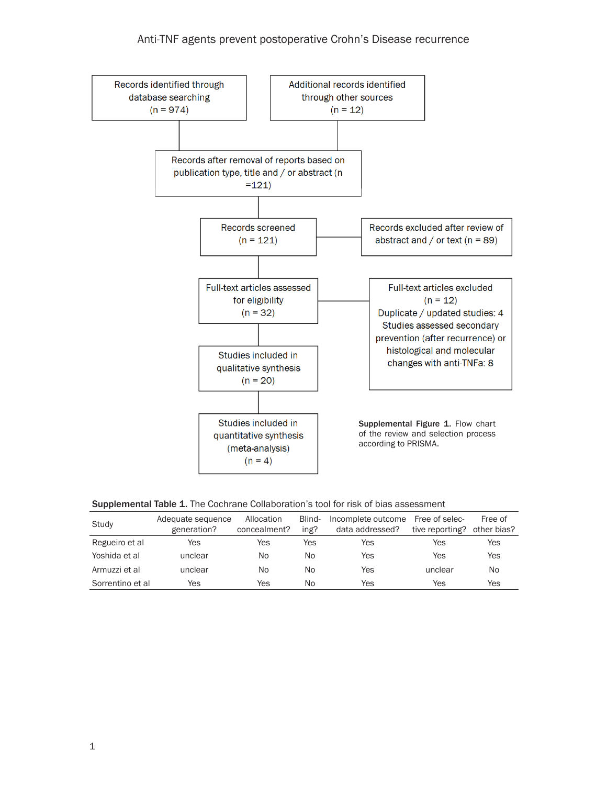<span id="page-12-0"></span>

|  |  | <b>Supplemental Table 1.</b> The Cochrane Collaboration's tool for risk of bias assessment |
|--|--|--------------------------------------------------------------------------------------------|
|--|--|--------------------------------------------------------------------------------------------|

| Study            | Adequate sequence | Allocation   | Blind- | Incomplete outcome | Free of selec-  | Free of     |
|------------------|-------------------|--------------|--------|--------------------|-----------------|-------------|
|                  | generation?       | concealment? | ing?   | data addressed?    | tive reporting? | other bias? |
| Regueiro et al   | Yes               | Yes          | Yes    | Yes                | Yes             | Yes         |
| Yoshida et al    | unclear           | No           | No     | Yes                | Yes             | Yes         |
| Armuzzi et al    | unclear           | No.          | Nο     | Yes                | unclear         | No          |
| Sorrentino et al | Yes               | Yes          | No     | Yes                | Yes             | Yes         |